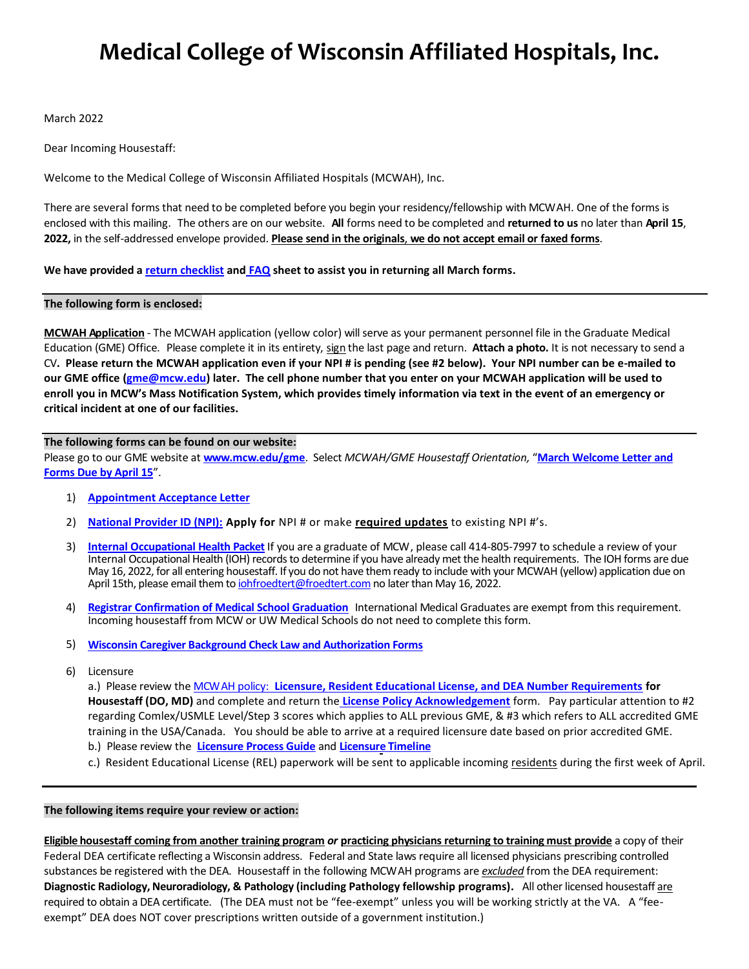# **Medical College of Wisconsin Affiliated Hospitals, Inc.**

March 2022

Dear Incoming Housestaff:

Welcome to the Medical College of Wisconsin Affiliated Hospitals (MCWAH), Inc.

There are several forms that need to be completed before you begin your residency/fellowship with MCWAH. One of the forms is enclosed with this mailing. The others are on our website. **All** forms need to be completed and **returned to us** no later than **April 15**, **2022,** in the self-addressed envelope provided. **Please send in the originals**, **we do not accept email or faxed forms**.

**We have provided a [return checklist](https://www.mcw.edu/-/media/MCW/Departments/Graduate-Medical-Education/2022-Return-Form-Checklist.pdf?la=en) and [FAQ](https://www.mcw.edu/-/media/MCW/Departments/Graduate-Medical-Education/FAQ-March-Forms.pdf?la=en) sheet to assist you in returning all March forms.** 

## **The following form is enclosed:**

**MCWAH Application** - The MCWAH application (yellow color) will serve as your permanent personnel file in the Graduate Medical Education (GME) Office. Please complete it in its entirety, sign the last page and return. **Attach a photo.** It is not necessary to send a CV**. Please return the MCWAH application even if your NPI # is pending (see #2 below). Your NPI number can be e-mailed to our GME office [\(gme@mcw.edu\)](mailto:gme@mcw.edu) later. The cell phone number that you enter on your MCWAH application will be used to enroll you in MCW's Mass Notification System, which provides timely information via text in the event of an emergency or critical incident at one of our facilities.** 

# **The following forms can be found on our website:**

Please go to our GME website at **[www.mcw.edu/gme](http://www.mcw.edu/gme)**. Select *MCWAH/GME Housestaff Orientation,* "**[March Welcome Letter and](https://www.mcw.edu/Graduate-Medical-Education/Housestaff-Orientation/Forms-Due-April-15.htm)  [Forms Due by April 15](https://www.mcw.edu/Graduate-Medical-Education/Housestaff-Orientation/Forms-Due-April-15.htm)**".

- 1) **[Appointment Acceptance Letter](https://www.mcw.edu/-/media/MCW/Departments/Graduate-Medical-Education/Appointment-Acceptance-Letter.pdf?la=en)**
- 2) **[National Provider ID \(NPI\):](https://www.mcw.edu/-/media/MCW/Departments/Graduate-Medical-Education/National-Provider-Identifier-Number.pdf?la=en) Apply for** NPI # or make **required updates** to existing NPI #'s.
- 3) **[Internal Occupational](https://www.mcw.edu/-/media/MCW/Departments/Graduate-Medical-Education/IOH-Packet-2022.pdf?la=en) Health Packet** If you are a graduate of MCW, please call 414-805-7997 to schedule a review of your Internal Occupational Health (IOH) records to determine if you have already met the health requirements. The IOH forms are due May 16, 2022, for all entering housestaff. If you do not have them ready to include with your MCWAH (yellow) application due on April 15th, please email them to *iohfroedtert@froedtert.com* no later than May 16, 2022.
- 4) **Registrar [Confirmation](https://www.mcw.edu/-/media/MCW/Departments/Graduate-Medical-Education/Registrar-Confirmation-Fillable-Form.pdf?la=en) of Medical School Graduation** International Medical Graduates are exempt from this requirement. Incoming housestaff from MCW or UW Medical Schools do not need to complete this form.
- 5) **[Wisconsin Caregiver Background Check Law and Authorization Forms](https://www.mcw.edu/-/media/MCW/Departments/Graduate-Medical-Education/WI-Caregiver-Background-Check-Form.pdf?la=en)**
- 6) Licensure

a.) Please review the MCWAH policy: **[Licensure, Resident Educational License, and DEA Number Requirements](https://www.mcw.edu/-/media/MCW/Departments/Graduate-Medical-Education/Resident-Educational-License-Requirements.pdf?la=en) for Housestaff (DO, MD)** and complete and return the **[License Policy Acknowledgement](https://www.mcw.edu/-/media/MCW/Departments/Graduate-Medical-Education/2022-Licensure-Policy-Acknowledgement.pdf)** form. Pay particular attention to #2 regarding Comlex/USMLE Level/Step 3 scores which applies to ALL previous GME, & #3 which refers to ALL accredited GME training in the USA/Canada. You should be able to arrive at a required licensure date based on prior accredited GME. b.) Please review the **Licensure [Process Guide](https://www.mcw.edu/-/media/MCW/Departments/Graduate-Medical-Education/Wisconsin-Licensure-Process-Guide.pdf?la=en)** and **[Licensure](https://www.mcw.edu/education/graduate-medical-education/mcwah-gme-resources/licensure-timeline) Timeline**

c.) Resident Educational License (REL) paperwork will be sent to applicable incoming residents during the first week of April.

## **The following items require your review or action:**

**Eligible housestaff coming from another training program** *or* **practicing physicians returning to training must provide** a copy of their Federal DEA certificate reflecting a Wisconsin address. Federal and State laws require all licensed physicians prescribing controlled substances be registered with the DEA. Housestaff in the following MCWAH programs are *excluded* from the DEA requirement: **Diagnostic Radiology, Neuroradiology, & Pathology (including Pathology fellowship programs).** All other licensed housestaff are required to obtain a DEA certificate. (The DEA must not be "fee-exempt" unless you will be working strictly at the VA. A "feeexempt" DEA does NOT cover prescriptions written outside of a government institution.)